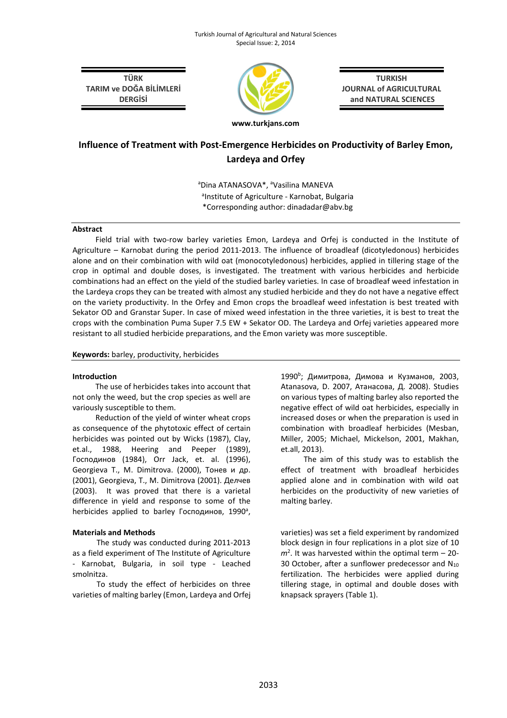TÜRK TARIM ve DOĞA BİLİMLERİ **DERGİSİ** 



**TURKISH** JOURNAL of AGRICULTURAL and NATURAL SCIENCES

# Influence of Treatment with Post-Emergence Herbicides on Productivity of Barley Emon, Lardeya and Orfey

aDina ATANASOVA\*, aVasilina MANEVA <sup>a</sup>Institute of Agriculture - Karnobat, Bulgaria \*Corresponding author: dinadadar@abv.bg

# Abstract

Field trial with two-row barley varieties Emon, Lardeya and Orfej is conducted in the Institute of Agriculture – Karnobat during the period 2011-2013. The influence of broadleaf (dicotyledonous) herbicides alone and on their combination with wild oat (monocotyledonous) herbicides, applied in tillering stage of the crop in optimal and double doses, is investigated. The treatment with various herbicides and herbicide combinations had an effect on the yield of the studied barley varieties. In case of broadleaf weed infestation in the Lardeya crops they can be treated with almost any studied herbicide and they do not have a negative effect on the variety productivity. In the Orfey and Emon crops the broadleaf weed infestation is best treated with Sekator OD and Granstar Super. In case of mixed weed infestation in the three varieties, it is best to treat the crops with the combination Puma Super 7.5 EW + Sekator OD. The Lardeya and Orfej varieties appeared more resistant to all studied herbicide preparations, and the Emon variety was more susceptible.

# Keywords: barley, productivity, herbicides

#### Introduction

The use of herbicides takes into account that not only the weed, but the crop species as well are variously susceptible to them.

Reduction of the yield of winter wheat crops as consequence of the phytotoxic effect of certain herbicides was pointed out by Wicks (1987), Clay, et.al., 1988, Heering and Peeper (1989), Господинов (1984), Orr Jack, et. al. (1996), Georgieva T., M. Dimitrova. (2000), Тонев и др. (2001), Georgieva, T., M. Dimitrova (2001). Делчев (2003). It was proved that there is a varietal difference in yield and response to some of the herbicides applied to barley Господинов, 1990<sup>a</sup>,

# Materials and Methods

The study was conducted during 2011-2013 as a field experiment of The Institute of Agriculture - Karnobat, Bulgaria, in soil type - Leached smolnitza.

To study the effect of herbicides on three varieties of malting barley (Emon, Lardeya and Orfej

1990<sup>b</sup>; Димитрова, Димова и Кузманов, 2003, Atanasova, D. 2007, Атанасова, Д. 2008). Studies on various types of malting barley also reported the negative effect of wild oat herbicides, especially in increased doses or when the preparation is used in combination with broadleaf herbicides (Mesban, Miller, 2005; Michael, Mickelson, 2001, Makhan, et.all, 2013).

The aim of this study was to establish the effect of treatment with broadleaf herbicides applied alone and in combination with wild oat herbicides on the productivity of new varieties of malting barley.

varieties) was set a field experiment by randomized block design in four replications in a plot size of 10  $m<sup>2</sup>$ . It was harvested within the optimal term  $-20$ -30 October, after a sunflower predecessor and  $N_{10}$ fertilization. The herbicides were applied during tillering stage, in optimal and double doses with knapsack sprayers (Table 1).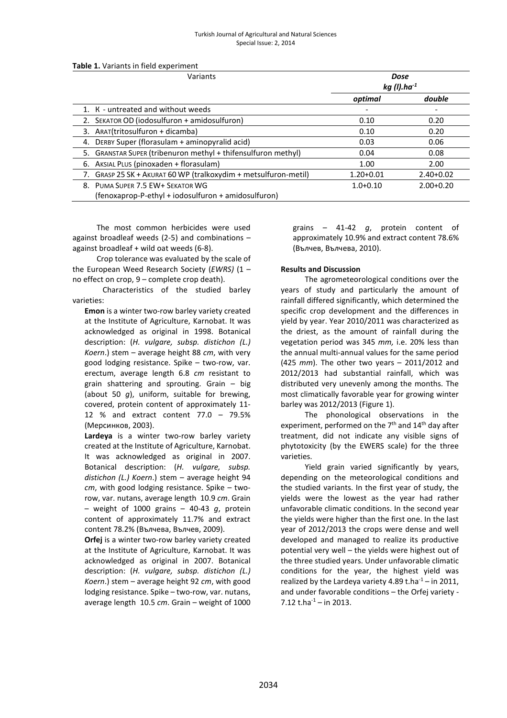#### Turkish Journal of Agricultural and Natural Sciences Special Issue: 2, 2014

|  |  |  | Table 1. Variants in field experiment |  |
|--|--|--|---------------------------------------|--|
|--|--|--|---------------------------------------|--|

| Variants                                                                | Dose<br>$kg($ l).ha $^{-1}$ |             |
|-------------------------------------------------------------------------|-----------------------------|-------------|
|                                                                         | optimal                     | double      |
| 1. K - untreated and without weeds                                      |                             |             |
| SEKATOR OD (iodosulfuron + amidosulfuron)                               | 0.10                        | 0.20        |
| ARAT(tritosulfuron + dicamba)<br>3.                                     | 0.10                        | 0.20        |
| DERBY Super (florasulam + aminopyralid acid)<br>4.                      | 0.03                        | 0.06        |
| <b>GRANSTAR SUPER (tribenuron methyl + thifensulfuron methyl)</b><br>5. | 0.04                        | 0.08        |
| AKSIAL PLUS (pinoxaden + florasulam)<br>6.                              | 1.00                        | 2.00        |
| GRASP 25 SK + AKURAT 60 WP (tralkoxydim + metsulfuron-metil)            | $1.20 + 0.01$               | $2.40+0.02$ |
| 8. PUMA SUPER 7.5 EW+ SEKATOR WG                                        | $1.0 + 0.10$                | $2.00+0.20$ |
| (fenoxaprop-P-ethyl + iodosulfuron + amidosulfuron)                     |                             |             |

The most common herbicides were used against broadleaf weeds (2-5) and combinations – against broadleaf + wild oat weeds (6-8).

Crop tolerance was evaluated by the scale of the European Weed Research Society (EWRS)  $(1$ no effect on crop, 9 – complete crop death).

Characteristics of the studied barley varieties:

Emon is a winter two-row barley variety created at the Institute of Agriculture, Karnobat. It was acknowledged as original in 1998. Botanical description: (H. vulgare, subsp. distichon (L.) Koern.) stem  $-$  average height 88 cm, with very good lodging resistance. Spike – two-row, var. erectum, average length 6.8 cm resistant to grain shattering and sprouting. Grain – big (about 50 g), uniform, suitable for brewing, covered, protein content of approximately 11- 12 % and extract content 77.0 – 79.5% (Мерсинков, 2003).

Lardeya is a winter two-row barley variety created at the Institute of Agriculture, Karnobat. It was acknowledged as original in 2007. Botanical description: (H. vulgare, subsp. distichon (L.) Koern.) stem – average height 94  $cm$ , with good lodging resistance. Spike – tworow, var. nutans, average length 10.9 cm. Grain – weight of 1000 grains – 40-43  $q$ , protein content of approximately 11.7% and extract content 78.2% (Вълчева, Вълчев, 2009).

Orfej is a winter two-row barley variety created at the Institute of Agriculture, Karnobat. It was acknowledged as original in 2007. Botanical description: (H. vulgare, subsp. distichon (L.) Koern.) stem  $-$  average height 92  $cm$ , with good lodging resistance. Spike – two-row, var. nutans, average length 10.5 cm. Grain – weight of 1000 grains – 41-42 g, protein content of approximately 10.9% and extract content 78.6% (Вълчев, Вълчева, 2010).

#### Results and Discussion

The agrometeorological conditions over the years of study and particularly the amount of rainfall differed significantly, which determined the specific crop development and the differences in yield by year. Year 2010/2011 was characterized as the driest, as the amount of rainfall during the vegetation period was 345 mm, i.e. 20% less than the annual multi-annual values for the same period (425 mm). The other two years – 2011/2012 and 2012/2013 had substantial rainfall, which was distributed very unevenly among the months. The most climatically favorable year for growing winter barley was 2012/2013 (Figure 1).

The phonological observations in the experiment, performed on the  $7<sup>th</sup>$  and  $14<sup>th</sup>$  day after treatment, did not indicate any visible signs of phytotoxicity (by the EWERS scale) for the three varieties.

Yield grain varied significantly by years, depending on the meteorological conditions and the studied variants. In the first year of study, the yields were the lowest as the year had rather unfavorable climatic conditions. In the second year the yields were higher than the first one. In the last year of 2012/2013 the crops were dense and well developed and managed to realize its productive potential very well – the yields were highest out of the three studied years. Under unfavorable climatic conditions for the year, the highest yield was realized by the Lardeya variety 4.89 t.ha $^{-1}$  – in 2011, and under favorable conditions – the Orfej variety - 7.12 t.ha $^{-1}$  – in 2013.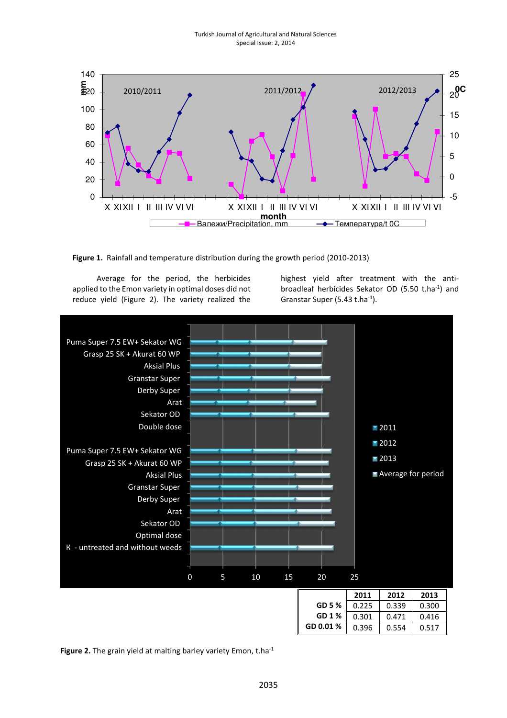

Figure 1. Rainfall and temperature distribution during the growth period (2010-2013)

Average for the period, the herbicides applied to the Emon variety in optimal doses did not reduce yield (Figure 2). The variety realized the

highest yield after treatment with the antibroadleaf herbicides Sekator OD (5.50 t.ha-1) and Granstar Super (5.43 t.ha<sup>-1</sup>).



Figure 2. The grain yield at malting barley variety Emon, t.ha $^{-1}$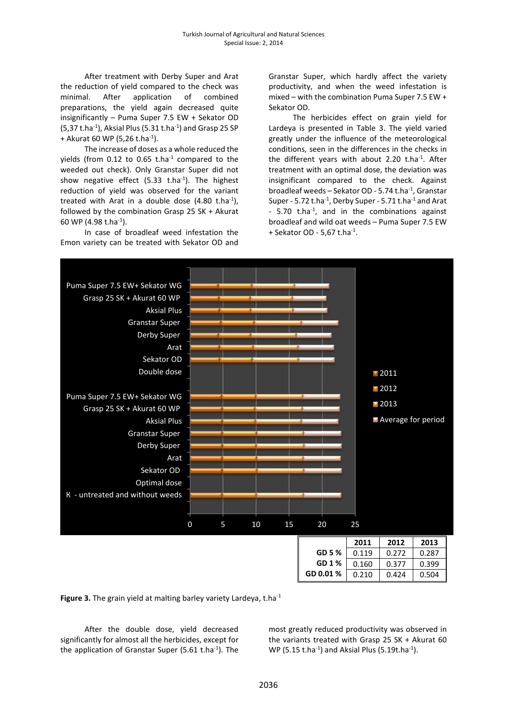After treatment with Derby Super and Arat the reduction of yield compared to the check was minimal. After application of combined preparations, the yield again decreased quite insignificantly – Puma Super 7.5 EW + Sekator OD  $(5,37 t.ha^{-1})$ , Aksial Plus (5.31 t.ha<sup>-1</sup>) and Grasp 25 SP + Akurat 60 WP (5,26 t.ha<sup>-1</sup>).

The increase of doses as a whole reduced the yields (from  $0.12$  to  $0.65$  t.ha<sup>-1</sup> compared to the weeded out check). Only Granstar Super did not show negative effect (5.33 t.ha $^{-1}$ ). The highest reduction of yield was observed for the variant treated with Arat in a double dose  $(4.80 \text{ t.ha}^{-1})$ , followed by the combination Grasp 25 SK + Akurat 60 WP (4.98 t.ha-1).

In case of broadleaf weed infestation the Emon variety can be treated with Sekator OD and Granstar Super, which hardly affect the variety productivity, and when the weed infestation is mixed – with the combination Puma Super 7.5 EW + Sekator OD.

The herbicides effect on grain yield for Lardeya is presented in Table 3. The yield varied greatly under the influence of the meteorological conditions, seen in the differences in the checks in the different years with about 2.20 t.ha $^{-1}$ . After treatment with an optimal dose, the deviation was insignificant compared to the check. Against broadleaf weeds - Sekator OD - 5.74 t.ha<sup>-1</sup>, Granstar Super - 5.72 t.ha $^{-1}$ , Derby Super - 5.71 t.ha $^{-1}$  and Arat  $-$  5.70 t.ha<sup>-1</sup>, and in the combinations against broadleaf and wild oat weeds – Puma Super 7.5 EW + Sekator OD - 5,67 t.ha<sup>-1</sup>.





After the double dose, yield decreased significantly for almost all the herbicides, except for the application of Granstar Super (5.61 t.ha $^{-1}$ ). The

most greatly reduced productivity was observed in the variants treated with Grasp 25 SK + Akurat 60 WP (5.15 t.ha $^{-1}$ ) and Aksial Plus (5.19t.ha $^{-1}$ ).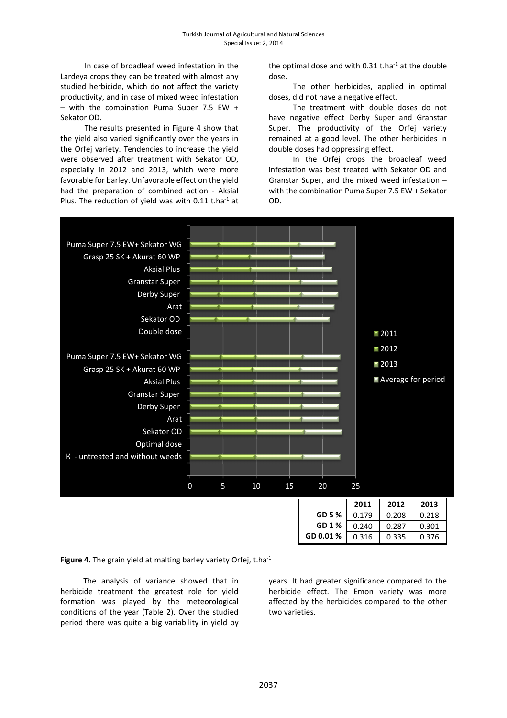In case of broadleaf weed infestation in the Lardeya crops they can be treated with almost any studied herbicide, which do not affect the variety productivity, and in case of mixed weed infestation – with the combination Puma Super 7.5 EW + Sekator OD.

The results presented in Figure 4 show that the yield also varied significantly over the years in the Orfej variety. Tendencies to increase the yield were observed after treatment with Sekator OD, especially in 2012 and 2013, which were more favorable for barley. Unfavorable effect on the yield had the preparation of combined action - Aksial Plus. The reduction of yield was with 0.11 t.ha $^{-1}$  at

the optimal dose and with  $0.31$  t.ha<sup>-1</sup> at the double dose.

The other herbicides, applied in optimal doses, did not have a negative effect.

The treatment with double doses do not have negative effect Derby Super and Granstar Super. The productivity of the Orfej variety remained at a good level. The other herbicides in double doses had oppressing effect.

In the Orfej crops the broadleaf weed infestation was best treated with Sekator OD and Granstar Super, and the mixed weed infestation – with the combination Puma Super 7.5 EW + Sekator OD.



Figure 4. The grain yield at malting barley variety Orfej, t.ha<sup>-1</sup>

The analysis of variance showed that in herbicide treatment the greatest role for yield formation was played by the meteorological conditions of the year (Table 2). Over the studied period there was quite a big variability in yield by years. It had greater significance compared to the herbicide effect. The Emon variety was more affected by the herbicides compared to the other two varieties.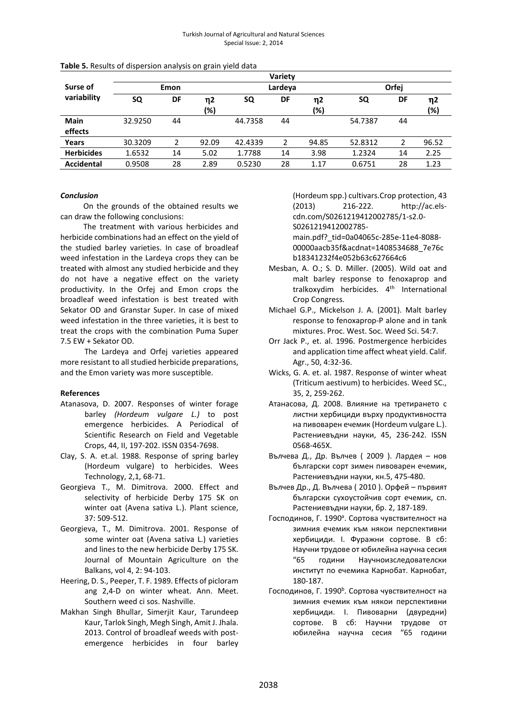|                         | Variety |    |           |         |               |           |         |    |           |
|-------------------------|---------|----|-----------|---------|---------------|-----------|---------|----|-----------|
| Surse of<br>variability | Emon    |    |           | Lardeya |               |           | Orfej   |    |           |
|                         | SQ      | DF | η2<br>(%) | SQ      | DF            | η2<br>(%) | SQ      | DF | η2<br>(%) |
| <b>Main</b><br>effects  | 32.9250 | 44 |           | 44.7358 | 44            |           | 54.7387 | 44 |           |
| Years                   | 30.3209 | 2  | 92.09     | 42.4339 | $\mathcal{P}$ | 94.85     | 52.8312 | 2  | 96.52     |
| <b>Herbicides</b>       | 1.6532  | 14 | 5.02      | 1.7788  | 14            | 3.98      | 1.2324  | 14 | 2.25      |
| <b>Accidental</b>       | 0.9508  | 28 | 2.89      | 0.5230  | 28            | 1.17      | 0.6751  | 28 | 1.23      |

#### Conclusion

On the grounds of the obtained results we can draw the following conclusions:

The treatment with various herbicides and herbicide combinations had an effect on the yield of the studied barley varieties. In case of broadleaf weed infestation in the Lardeya crops they can be treated with almost any studied herbicide and they do not have a negative effect on the variety productivity. In the Orfej and Emon crops the broadleaf weed infestation is best treated with Sekator OD and Granstar Super. In case of mixed weed infestation in the three varieties, it is best to treat the crops with the combination Puma Super 7.5 EW + Sekator OD.

The Lardeya and Orfej varieties appeared more resistant to all studied herbicide preparations, and the Emon variety was more susceptible.

# References

- Atanasova, D. 2007. Responses of winter forage barley (Hordeum vulgare L.) to post emergence herbicides. A Periodical of Scientific Research on Field and Vegetable Crops, 44, II, 197-202. ISSN 0354-7698.
- Clay, S. A. et.al. 1988. Response of spring barley (Hordeum vulgare) to herbicides. Wees Technology, 2,1, 68-71.
- Georgieva T., M. Dimitrova. 2000. Effect and selectivity of herbicide Derby 175 SK on winter oat (Avena sativa L.). Plant science, 37: 509-512.
- Georgieva, T., M. Dimitrova. 2001. Response of some winter oat (Avena sativa L.) varieties and lines to the new herbicide Derby 175 SK. Journal of Mountain Agriculture on the Balkans, vol 4, 2: 94-103.
- Heering, D. S., Peeper, T. F. 1989. Effects of picloram ang 2,4-D on winter wheat. Ann. Meet. Southern weed ci sos. Nashville.
- Makhan Singh Bhullar, Simerjit Kaur, Tarundeep Kaur, Tarlok Singh, Megh Singh, Amit J. Jhala. 2013. Control of broadleaf weeds with postemergence herbicides in four barley

(Hordeum spp.) cultivars.Crop protection, 43 (2013) 216-222. http://ac.elscdn.com/S0261219412002785/1-s2.0- S0261219412002785-

main.pdf?\_tid=0a04065c-285e-11e4-8088- 00000aacb35f&acdnat=1408534688\_7e76c b18341232f4e052b63c627664c6

- Mesban, A. O.; S. D. Miller. (2005). Wild oat and malt barley response to fenoxaprop and tralkoxydim herbicides. 4<sup>th</sup> International Crop Congress.
- Michael G.P., Mickelson J. A. (2001). Malt barley response to fenoxaprop-P alone and in tank mixtures. Proc. West. Soc. Weed Sci. 54:7.
- Orr Jack P., et. al. 1996. Postmergence herbicides and application time affect wheat yield. Calif. Agr., 50, 4:32-36.
- Wicks, G. A. et. al. 1987. Response of winter wheat (Triticum aestivum) to herbicides. Weed SC., 35, 2, 259-262.
- Атанасова, Д. 2008. Влияние на третирането с листни хербициди върху продуктивността на пивоварен ечемик (Hordeum vulgare L.). Растениевъдни науки, 45, 236-242. ISSN 0568-465X.
- Вълчева Д., Др. Вълчев ( 2009 ). Лардея нов български сорт зимен пивоварен ечемик, Растениевъдни науки, кн.5, 475-480.
- Вълчев Др., Д. Вълчева ( 2010 ). Орфей първият български сухоустойчив сорт ечемик, сп. Растениевъдни науки, бр. 2, 187-189.
- Господинов, Г. 1990<sup>a</sup>. Сортова чувствителност на зимния ечемик към някои перспективни хербициди. І. Фуражни сортове. В сб: Научни трудове от юбилейна научна сесия "65 години Научноизследователски институт по ечемика Карнобат. Карнобат, 180-187.
- Господинов, Г. 1990<sup>b</sup>. Сортова чувствителност на зимния ечемик към някои перспективни хербициди. І. Пивоварни (двуредни) сортове. В сб: Научни трудове от юбилейна научна сесия "65 години